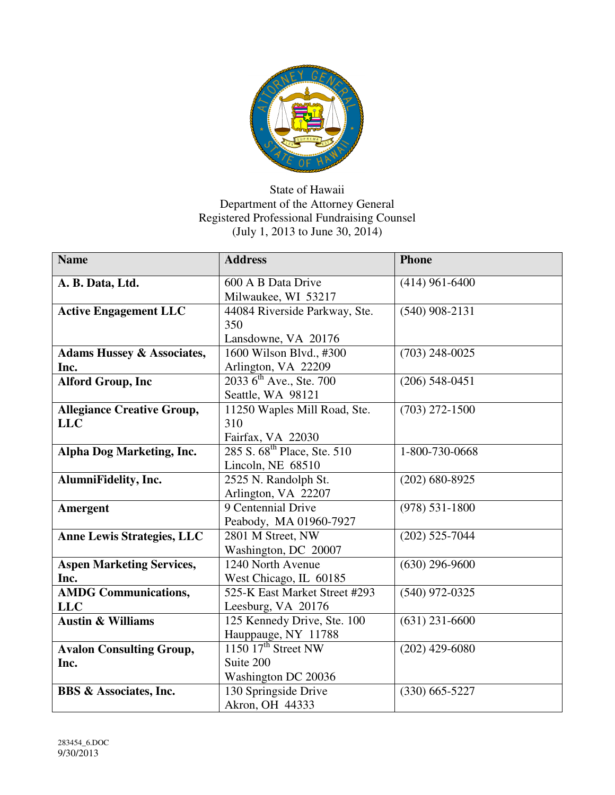

## State of Hawaii Department of the Attorney General Registered Professional Fundraising Counsel (July 1, 2013 to June 30, 2014)

| <b>Name</b>                           | <b>Address</b>                          | <b>Phone</b>       |
|---------------------------------------|-----------------------------------------|--------------------|
| A. B. Data, Ltd.                      | 600 A B Data Drive                      | $(414)$ 961-6400   |
|                                       | Milwaukee, WI 53217                     |                    |
| <b>Active Engagement LLC</b>          | 44084 Riverside Parkway, Ste.           | $(540)$ 908-2131   |
|                                       | 350                                     |                    |
|                                       | Lansdowne, VA 20176                     |                    |
| <b>Adams Hussey &amp; Associates,</b> | 1600 Wilson Blvd., #300                 | $(703)$ 248-0025   |
| Inc.                                  | Arlington, VA 22209                     |                    |
| <b>Alford Group, Inc</b>              | $20336^{\text{th}}$ Ave., Ste. 700      | $(206)$ 548-0451   |
|                                       | Seattle, WA 98121                       |                    |
| <b>Allegiance Creative Group,</b>     | 11250 Waples Mill Road, Ste.            | $(703)$ 272-1500   |
| <b>LLC</b>                            | 310                                     |                    |
|                                       | Fairfax, VA 22030                       |                    |
| Alpha Dog Marketing, Inc.             | 285 S. 68 <sup>th</sup> Place, Ste. 510 | 1-800-730-0668     |
|                                       | Lincoln, NE 68510                       |                    |
| AlumniFidelity, Inc.                  | 2525 N. Randolph St.                    | $(202)$ 680-8925   |
|                                       | Arlington, VA 22207                     |                    |
| Amergent                              | 9 Centennial Drive                      | $(978) 531 - 1800$ |
|                                       | Peabody, MA 01960-7927                  |                    |
| <b>Anne Lewis Strategies, LLC</b>     | 2801 M Street, NW                       | $(202)$ 525-7044   |
|                                       | Washington, DC 20007                    |                    |
| <b>Aspen Marketing Services,</b>      | 1240 North Avenue                       | $(630)$ 296-9600   |
| Inc.                                  | West Chicago, IL 60185                  |                    |
| <b>AMDG Communications,</b>           | 525-K East Market Street #293           | $(540)$ 972-0325   |
| <b>LLC</b>                            | Leesburg, VA 20176                      |                    |
| <b>Austin &amp; Williams</b>          | 125 Kennedy Drive, Ste. 100             | $(631)$ 231-6600   |
|                                       | Hauppauge, NY 11788                     |                    |
| <b>Avalon Consulting Group,</b>       | $1150$ $17th$ Street NW                 | $(202)$ 429-6080   |
| Inc.                                  | Suite 200                               |                    |
|                                       | Washington DC 20036                     |                    |
| <b>BBS &amp; Associates, Inc.</b>     | 130 Springside Drive                    | $(330)$ 665-5227   |
|                                       | Akron, OH 44333                         |                    |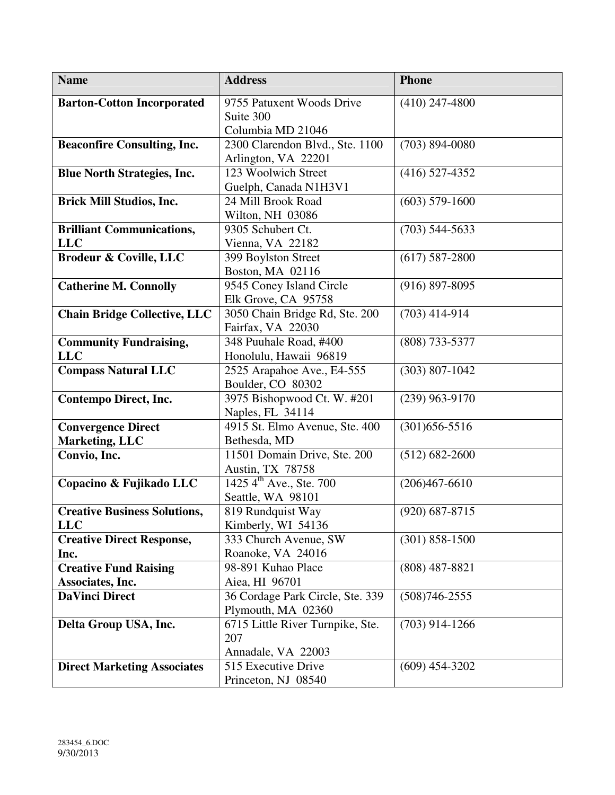| <b>Name</b>                                 | <b>Address</b>                                 | <b>Phone</b>       |
|---------------------------------------------|------------------------------------------------|--------------------|
| <b>Barton-Cotton Incorporated</b>           | 9755 Patuxent Woods Drive                      | $(410)$ 247-4800   |
|                                             | Suite 300                                      |                    |
|                                             | Columbia MD 21046                              |                    |
| <b>Beaconfire Consulting, Inc.</b>          | 2300 Clarendon Blvd., Ste. 1100                | $(703) 894 - 0080$ |
|                                             | Arlington, VA 22201<br>123 Woolwich Street     |                    |
| <b>Blue North Strategies, Inc.</b>          |                                                | $(416)$ 527-4352   |
| <b>Brick Mill Studios, Inc.</b>             | Guelph, Canada N1H3V1<br>24 Mill Brook Road    | $(603) 579 - 1600$ |
|                                             | Wilton, NH 03086                               |                    |
| <b>Brilliant Communications,</b>            | 9305 Schubert Ct.                              | $(703)$ 544-5633   |
| <b>LLC</b>                                  | Vienna, VA 22182                               |                    |
| <b>Brodeur &amp; Coville, LLC</b>           | 399 Boylston Street                            | $(617) 587 - 2800$ |
|                                             | Boston, MA 02116                               |                    |
| <b>Catherine M. Connolly</b>                | 9545 Coney Island Circle                       | $(916) 897 - 8095$ |
|                                             | Elk Grove, CA 95758                            |                    |
| <b>Chain Bridge Collective, LLC</b>         | 3050 Chain Bridge Rd, Ste. 200                 | $(703)$ 414-914    |
|                                             | Fairfax, VA 22030                              |                    |
| <b>Community Fundraising,</b>               | 348 Puuhale Road, #400                         | (808) 733-5377     |
| <b>LLC</b>                                  | Honolulu, Hawaii 96819                         |                    |
| <b>Compass Natural LLC</b>                  | 2525 Arapahoe Ave., E4-555                     | $(303) 807 - 1042$ |
|                                             | Boulder, CO 80302                              |                    |
| <b>Contempo Direct, Inc.</b>                | 3975 Bishopwood Ct. W. #201                    | $(239)$ 963-9170   |
|                                             | Naples, FL 34114                               | $(301)656 - 5516$  |
| <b>Convergence Direct</b><br>Marketing, LLC | 4915 St. Elmo Avenue, Ste. 400<br>Bethesda, MD |                    |
| Convio, Inc.                                | 11501 Domain Drive, Ste. 200                   | $(512) 682 - 2600$ |
|                                             | Austin, TX 78758                               |                    |
| Copacino & Fujikado LLC                     | 1425 4 <sup>th</sup> Ave., Ste. 700            | $(206)467 - 6610$  |
|                                             | Seattle, WA 98101                              |                    |
| <b>Creative Business Solutions,</b>         | 819 Rundquist Way                              | $(920) 687 - 8715$ |
| <b>LLC</b>                                  | Kimberly, WI 54136                             |                    |
| <b>Creative Direct Response,</b>            | 333 Church Avenue, SW                          | $(301) 858 - 1500$ |
| Inc.                                        | Roanoke, VA 24016                              |                    |
| <b>Creative Fund Raising</b>                | 98-891 Kuhao Place                             | $(808)$ 487-8821   |
| Associates, Inc.                            | Aiea, HI 96701                                 |                    |
| <b>DaVinci Direct</b>                       | 36 Cordage Park Circle, Ste. 339               | $(508)746 - 2555$  |
|                                             | Plymouth, MA 02360                             |                    |
| Delta Group USA, Inc.                       | 6715 Little River Turnpike, Ste.               | $(703)$ 914-1266   |
|                                             | 207                                            |                    |
|                                             | Annadale, VA 22003                             |                    |
| <b>Direct Marketing Associates</b>          | 515 Executive Drive                            | $(609)$ 454-3202   |
|                                             | Princeton, NJ 08540                            |                    |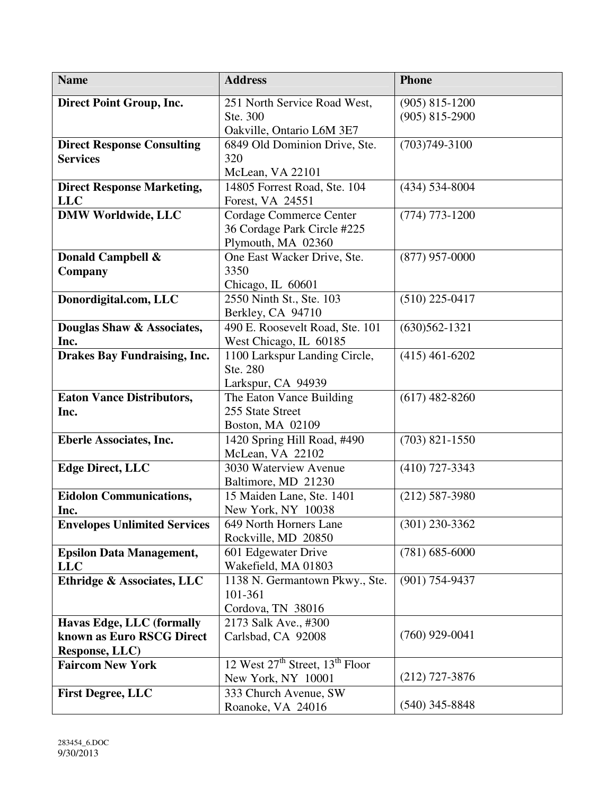| <b>Name</b>                                   | <b>Address</b>                                          | <b>Phone</b>       |
|-----------------------------------------------|---------------------------------------------------------|--------------------|
| Direct Point Group, Inc.                      | 251 North Service Road West,                            | $(905)$ 815-1200   |
|                                               | Ste. 300                                                | $(905)$ 815-2900   |
|                                               | Oakville, Ontario L6M 3E7                               |                    |
| <b>Direct Response Consulting</b>             | 6849 Old Dominion Drive, Ste.                           | $(703)749-3100$    |
| <b>Services</b>                               | 320                                                     |                    |
|                                               | McLean, VA 22101                                        |                    |
| <b>Direct Response Marketing,</b>             | 14805 Forrest Road, Ste. 104                            | $(434) 534 - 8004$ |
| <b>LLC</b>                                    | Forest, VA 24551                                        |                    |
| <b>DMW Worldwide, LLC</b>                     | Cordage Commerce Center                                 | $(774) 773 - 1200$ |
|                                               | 36 Cordage Park Circle #225                             |                    |
|                                               | Plymouth, MA 02360                                      | $(877)$ 957-0000   |
| Donald Campbell &                             | One East Wacker Drive, Ste.<br>3350                     |                    |
| Company                                       | Chicago, IL 60601                                       |                    |
| Donordigital.com, LLC                         | 2550 Ninth St., Ste. 103                                | $(510)$ 225-0417   |
|                                               | Berkley, CA 94710                                       |                    |
| Douglas Shaw & Associates,                    | 490 E. Roosevelt Road, Ste. 101                         | $(630)562 - 1321$  |
| Inc.                                          | West Chicago, IL 60185                                  |                    |
| <b>Drakes Bay Fundraising, Inc.</b>           | 1100 Larkspur Landing Circle,                           | $(415)$ 461-6202   |
|                                               | Ste. 280                                                |                    |
|                                               | Larkspur, CA 94939                                      |                    |
| <b>Eaton Vance Distributors,</b>              | The Eaton Vance Building                                | $(617)$ 482-8260   |
| Inc.                                          | 255 State Street                                        |                    |
|                                               | Boston, MA 02109                                        |                    |
| <b>Eberle Associates, Inc.</b>                | 1420 Spring Hill Road, #490                             | $(703)$ 821-1550   |
|                                               | McLean, VA 22102                                        |                    |
| <b>Edge Direct, LLC</b>                       | 3030 Waterview Avenue                                   | $(410)$ 727-3343   |
|                                               | Baltimore, MD 21230                                     |                    |
| <b>Eidolon Communications,</b>                | 15 Maiden Lane, Ste. 1401                               | $(212)$ 587-3980   |
| Inc.                                          | New York, NY 10038                                      |                    |
| <b>Envelopes Unlimited Services</b>           | 649 North Horners Lane                                  | $(301)$ 230-3362   |
|                                               | Rockville, MD 20850                                     | $(781) 685 - 6000$ |
| <b>Epsilon Data Management,</b><br><b>LLC</b> | 601 Edgewater Drive<br>Wakefield, MA 01803              |                    |
| <b>Ethridge &amp; Associates, LLC</b>         | 1138 N. Germantown Pkwy., Ste.                          | $(901) 754 - 9437$ |
|                                               | 101-361                                                 |                    |
|                                               | Cordova, TN 38016                                       |                    |
| Havas Edge, LLC (formally                     | 2173 Salk Ave., #300                                    |                    |
| known as Euro RSCG Direct                     | Carlsbad, CA 92008                                      | $(760)$ 929-0041   |
| <b>Response, LLC</b> )                        |                                                         |                    |
| <b>Faircom New York</b>                       | 12 West $27^{\text{th}}$ Street, $13^{\text{th}}$ Floor |                    |
|                                               | New York, NY 10001                                      | $(212)$ 727-3876   |
| <b>First Degree, LLC</b>                      | 333 Church Avenue, SW                                   |                    |
|                                               | Roanoke, VA 24016                                       | $(540)$ 345-8848   |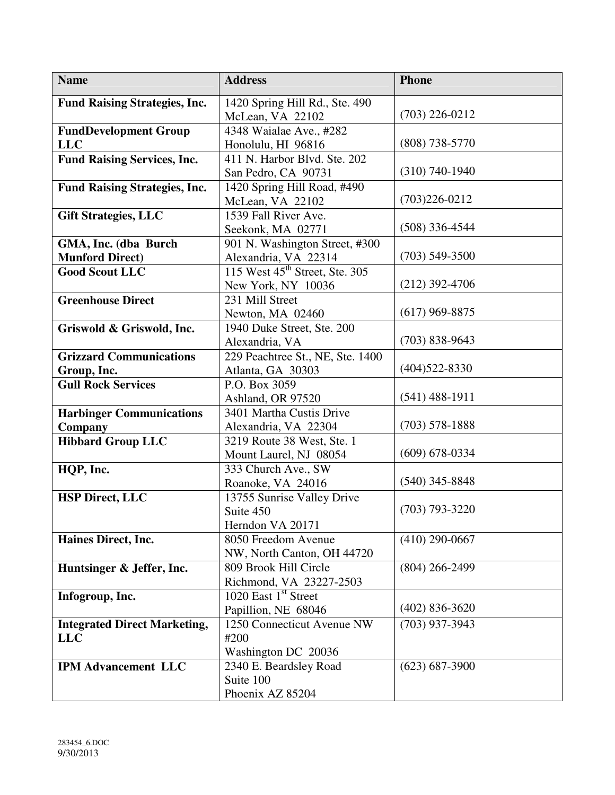| <b>Name</b>                                       | <b>Address</b>                                                   | <b>Phone</b>       |
|---------------------------------------------------|------------------------------------------------------------------|--------------------|
| <b>Fund Raising Strategies, Inc.</b>              | 1420 Spring Hill Rd., Ste. 490<br>McLean, VA 22102               | $(703)$ 226-0212   |
| <b>FundDevelopment Group</b><br><b>LLC</b>        | 4348 Waialae Ave., #282<br>Honolulu, HI 96816                    | $(808)$ 738-5770   |
| <b>Fund Raising Services, Inc.</b>                | 411 N. Harbor Blvd. Ste. 202<br>San Pedro, CA 90731              | $(310) 740 - 1940$ |
| <b>Fund Raising Strategies, Inc.</b>              | 1420 Spring Hill Road, #490<br>McLean, VA 22102                  | $(703)226 - 0212$  |
| <b>Gift Strategies, LLC</b>                       | 1539 Fall River Ave.<br>Seekonk, MA 02771                        | $(508)$ 336-4544   |
| GMA, Inc. (dba Burch<br><b>Munford Direct)</b>    | 901 N. Washington Street, #300<br>Alexandria, VA 22314           | $(703)$ 549-3500   |
| <b>Good Scout LLC</b>                             | 115 West $45^{\text{th}}$ Street, Ste. 305<br>New York, NY 10036 | $(212)$ 392-4706   |
| <b>Greenhouse Direct</b>                          | 231 Mill Street<br>Newton, MA 02460                              | $(617)$ 969-8875   |
| Griswold & Griswold, Inc.                         | 1940 Duke Street, Ste. 200<br>Alexandria, VA                     | $(703)$ 838-9643   |
| <b>Grizzard Communications</b><br>Group, Inc.     | 229 Peachtree St., NE, Ste. 1400<br>Atlanta, GA 30303            | $(404)522 - 8330$  |
| <b>Gull Rock Services</b>                         | P.O. Box 3059<br>Ashland, OR 97520                               | $(541)$ 488-1911   |
| <b>Harbinger Communications</b><br>Company        | 3401 Martha Custis Drive<br>Alexandria, VA 22304                 | $(703)$ 578-1888   |
| <b>Hibbard Group LLC</b>                          | 3219 Route 38 West, Ste. 1<br>Mount Laurel, NJ 08054             | $(609)$ 678-0334   |
| HQP, Inc.                                         | 333 Church Ave., SW<br>Roanoke, VA 24016                         | $(540)$ 345-8848   |
| <b>HSP Direct, LLC</b>                            | 13755 Sunrise Valley Drive<br>Suite 450<br>Herndon VA 20171      | $(703)$ 793-3220   |
| Haines Direct, Inc.                               | 8050 Freedom Avenue<br>NW, North Canton, OH 44720                | $(410)$ 290-0667   |
| Huntsinger & Jeffer, Inc.                         | 809 Brook Hill Circle<br>Richmond, VA 23227-2503                 | $(804)$ 266-2499   |
| Infogroup, Inc.                                   | 1020 East 1 <sup>st</sup> Street<br>Papillion, NE 68046          | $(402)$ 836-3620   |
| <b>Integrated Direct Marketing,</b><br><b>LLC</b> | 1250 Connecticut Avenue NW<br>#200<br>Washington DC 20036        | $(703)$ 937-3943   |
| <b>IPM Advancement LLC</b>                        | 2340 E. Beardsley Road<br>Suite 100<br>Phoenix AZ 85204          | $(623) 687 - 3900$ |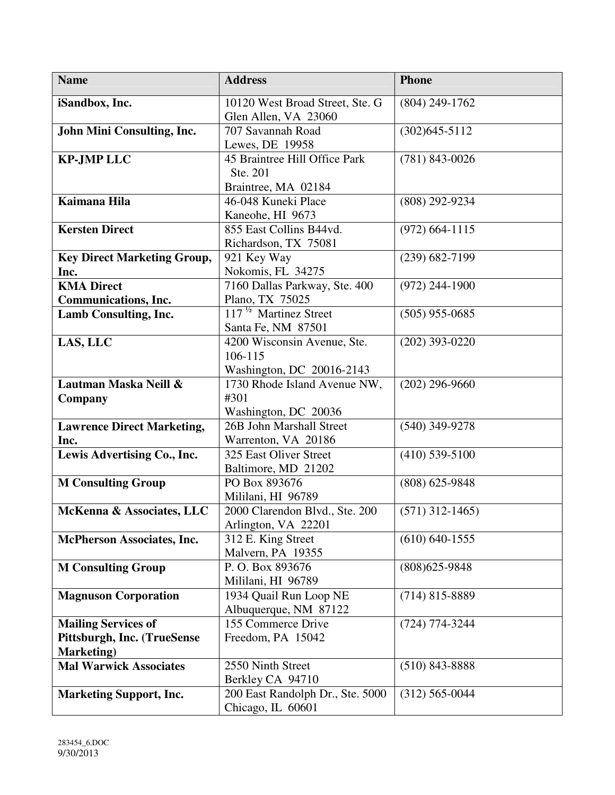| <b>Name</b>                                                                     | <b>Address</b>                                                      | <b>Phone</b>       |
|---------------------------------------------------------------------------------|---------------------------------------------------------------------|--------------------|
| iSandbox, Inc.                                                                  | 10120 West Broad Street, Ste. G<br>Glen Allen, VA 23060             | $(804)$ 249-1762   |
| John Mini Consulting, Inc.                                                      | 707 Savannah Road<br>Lewes, DE 19958                                | $(302)645 - 5112$  |
| <b>KP-JMP LLC</b>                                                               | 45 Braintree Hill Office Park<br>Ste. 201<br>Braintree, MA 02184    | $(781)$ 843-0026   |
| Kaimana Hila                                                                    | 46-048 Kuneki Place<br>Kaneohe, HI 9673                             | (808) 292-9234     |
| <b>Kersten Direct</b>                                                           | 855 East Collins B44vd.<br>Richardson, TX 75081                     | $(972)$ 664-1115   |
| <b>Key Direct Marketing Group,</b><br>Inc.                                      | 921 Key Way<br>Nokomis, FL 34275                                    | $(239) 682 - 7199$ |
| <b>KMA Direct</b><br><b>Communications, Inc.</b>                                | 7160 Dallas Parkway, Ste. 400<br>Plano, TX 75025                    | $(972)$ 244-1900   |
| Lamb Consulting, Inc.                                                           | 117 <sup>1/2</sup> Martinez Street<br>Santa Fe, NM 87501            | $(505)$ 955-0685   |
| LAS, LLC                                                                        | 4200 Wisconsin Avenue, Ste.<br>106-115<br>Washington, DC 20016-2143 | $(202)$ 393-0220   |
| Lautman Maska Neill &<br>Company                                                | 1730 Rhode Island Avenue NW,<br>#301<br>Washington, DC 20036        | $(202)$ 296-9660   |
| <b>Lawrence Direct Marketing,</b><br>Inc.                                       | 26B John Marshall Street<br>Warrenton, VA 20186                     | $(540)$ 349-9278   |
| Lewis Advertising Co., Inc.                                                     | 325 East Oliver Street<br>Baltimore, MD 21202                       | $(410)$ 539-5100   |
| <b>M Consulting Group</b>                                                       | PO Box 893676<br>Mililani, HI 96789                                 | $(808)$ 625-9848   |
| McKenna & Associates, LLC                                                       | 2000 Clarendon Blvd., Ste. 200<br>Arlington, VA 22201               | $(571)$ 312-1465)  |
| <b>McPherson Associates, Inc.</b>                                               | 312 E. King Street<br>Malvern, PA 19355                             | $(610) 640 - 1555$ |
| <b>M Consulting Group</b>                                                       | P.O. Box 893676<br>Mililani, HI 96789                               | $(808)625 - 9848$  |
| <b>Magnuson Corporation</b>                                                     | 1934 Quail Run Loop NE<br>Albuquerque, NM 87122                     | $(714)$ 815-8889   |
| <b>Mailing Services of</b><br>Pittsburgh, Inc. (TrueSense<br><b>Marketing</b> ) | 155 Commerce Drive<br>Freedom, PA 15042                             | (724) 774-3244     |
| <b>Mal Warwick Associates</b>                                                   | 2550 Ninth Street<br>Berkley CA 94710                               | $(510)$ 843-8888   |
| <b>Marketing Support, Inc.</b>                                                  | 200 East Randolph Dr., Ste. 5000<br>Chicago, IL 60601               | $(312)$ 565-0044   |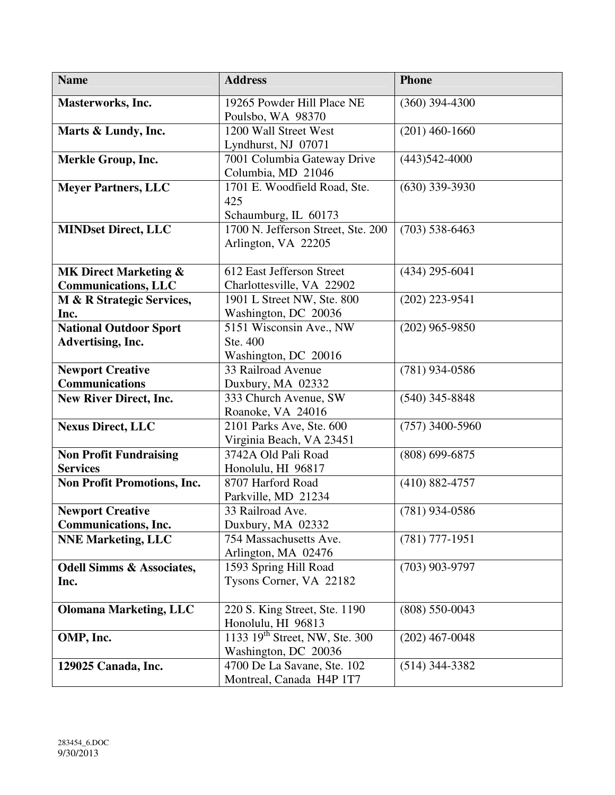| <b>Name</b>                                            | <b>Address</b>                                              | <b>Phone</b>       |
|--------------------------------------------------------|-------------------------------------------------------------|--------------------|
| Masterworks, Inc.                                      | 19265 Powder Hill Place NE<br>Poulsbo, WA 98370             | $(360)$ 394-4300   |
| Marts & Lundy, Inc.                                    | 1200 Wall Street West<br>Lyndhurst, NJ 07071                | $(201)$ 460-1660   |
| <b>Merkle Group, Inc.</b>                              | 7001 Columbia Gateway Drive<br>Columbia, MD 21046           | $(443)542-4000$    |
| <b>Meyer Partners, LLC</b>                             | 1701 E. Woodfield Road, Ste.<br>425<br>Schaumburg, IL 60173 | $(630)$ 339-3930   |
| <b>MINDset Direct, LLC</b>                             | 1700 N. Jefferson Street, Ste. 200<br>Arlington, VA 22205   | $(703)$ 538-6463   |
| <b>MK Direct Marketing &amp;</b>                       | 612 East Jefferson Street                                   | $(434)$ 295-6041   |
| <b>Communications, LLC</b>                             | Charlottesville, VA 22902                                   |                    |
| M & R Strategic Services,<br>Inc.                      | 1901 L Street NW, Ste. 800<br>Washington, DC 20036          | $(202)$ 223-9541   |
| <b>National Outdoor Sport</b>                          | 5151 Wisconsin Ave., NW                                     | $(202)$ 965-9850   |
| Advertising, Inc.                                      | Ste. 400<br>Washington, DC 20016                            |                    |
| <b>Newport Creative</b>                                | 33 Railroad Avenue                                          | $(781)$ 934-0586   |
| <b>Communications</b>                                  | Duxbury, MA 02332                                           |                    |
| <b>New River Direct, Inc.</b>                          | 333 Church Avenue, SW<br>Roanoke, VA 24016                  | $(540)$ 345-8848   |
| <b>Nexus Direct, LLC</b>                               | 2101 Parks Ave, Ste. 600<br>Virginia Beach, VA 23451        | $(757)$ 3400-5960  |
| <b>Non Profit Fundraising</b><br><b>Services</b>       | 3742A Old Pali Road<br>Honolulu, HI 96817                   | $(808) 699 - 6875$ |
| <b>Non Profit Promotions, Inc.</b>                     | 8707 Harford Road<br>Parkville, MD 21234                    | $(410) 882 - 4757$ |
| <b>Newport Creative</b><br><b>Communications, Inc.</b> | 33 Railroad Ave.<br>Duxbury, MA 02332                       | $(781)$ 934-0586   |
| <b>NNE Marketing, LLC</b>                              | 754 Massachusetts Ave.<br>Arlington, MA 02476               | $(781)$ 777-1951   |
| <b>Odell Simms &amp; Associates,</b><br>Inc.           | 1593 Spring Hill Road<br>Tysons Corner, VA 22182            | $(703)$ 903-9797   |
| <b>Olomana Marketing, LLC</b>                          | 220 S. King Street, Ste. 1190<br>Honolulu, HI 96813         | $(808) 550 - 0043$ |
| OMP, Inc.                                              | 1133 $19th$ Street, NW, Ste. 300<br>Washington, DC 20036    | $(202)$ 467-0048   |
| 129025 Canada, Inc.                                    | 4700 De La Savane, Ste. 102<br>Montreal, Canada H4P 1T7     | $(514)$ 344-3382   |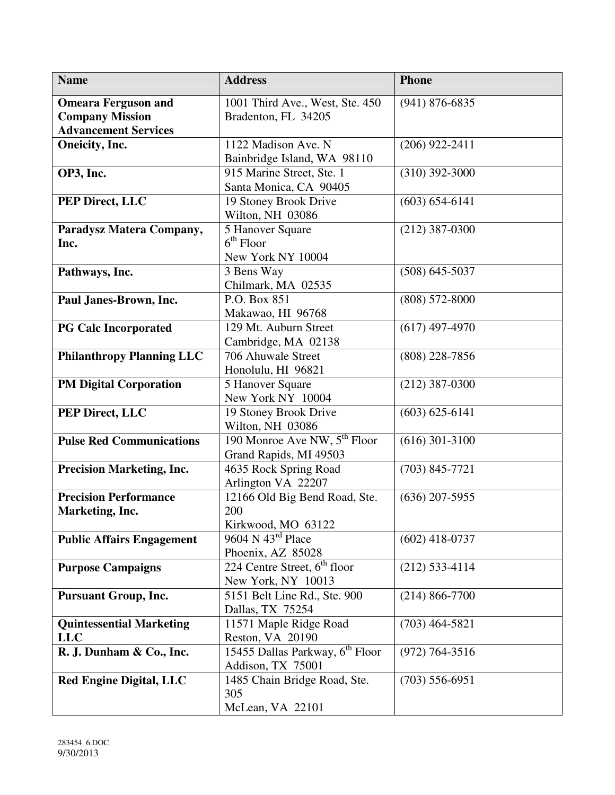| <b>Name</b>                                                                         | <b>Address</b>                                                     | <b>Phone</b>                  |
|-------------------------------------------------------------------------------------|--------------------------------------------------------------------|-------------------------------|
| <b>Omeara Ferguson and</b><br><b>Company Mission</b><br><b>Advancement Services</b> | 1001 Third Ave., West, Ste. 450<br>Bradenton, FL 34205             | $(941) 876 - 6835$            |
| Oneicity, Inc.                                                                      | 1122 Madison Ave. N<br>Bainbridge Island, WA 98110                 | $(206)$ 922-2411              |
| OP3, Inc.                                                                           | 915 Marine Street, Ste. 1<br>Santa Monica, CA 90405                | $(310)$ 392-3000              |
| PEP Direct, LLC                                                                     | 19 Stoney Brook Drive<br>Wilton, NH 03086                          | $(603) 654 - 6141$            |
| Paradysz Matera Company,<br>Inc.                                                    | 5 Hanover Square<br>$6th$ Floor<br>New York NY 10004               | $(212)$ 387-0300              |
| Pathways, Inc.                                                                      | 3 Bens Way<br>Chilmark, MA 02535                                   | $(508) 645 - 5037$            |
| Paul Janes-Brown, Inc.                                                              | P.O. Box 851<br>Makawao, HI 96768                                  | $(808) 572 - 8000$            |
| <b>PG Calc Incorporated</b>                                                         | 129 Mt. Auburn Street<br>Cambridge, MA 02138                       | $(617)$ 497-4970              |
| <b>Philanthropy Planning LLC</b>                                                    | 706 Ahuwale Street<br>Honolulu, HI 96821                           | $(808)$ 228-7856              |
| <b>PM Digital Corporation</b>                                                       | 5 Hanover Square<br>New York NY 10004                              | $(212)$ 387-0300              |
| PEP Direct, LLC                                                                     | 19 Stoney Brook Drive<br>Wilton, NH 03086                          | $(603) 625 - 61\overline{41}$ |
| <b>Pulse Red Communications</b>                                                     | 190 Monroe Ave NW, 5 <sup>th</sup> Floor<br>Grand Rapids, MI 49503 | $(616)$ 301-3100              |
| <b>Precision Marketing, Inc.</b>                                                    | 4635 Rock Spring Road<br>Arlington VA 22207                        | $(703) 845 - 7721$            |
| <b>Precision Performance</b><br>Marketing, Inc.                                     | 12166 Old Big Bend Road, Ste.<br>200<br>Kirkwood, MO 63122         | $(636)$ 207-5955              |
| <b>Public Affairs Engagement</b>                                                    | 9604 N $43^{\text{rd}}$ Place<br>Phoenix, AZ 85028                 | $(602)$ 418-0737              |
| <b>Purpose Campaigns</b>                                                            | 224 Centre Street, $6th$ floor<br>New York, NY 10013               | $(212)$ 533-4114              |
| <b>Pursuant Group, Inc.</b>                                                         | 5151 Belt Line Rd., Ste. 900<br>Dallas, TX 75254                   | $(214) 866 - 7700$            |
| <b>Quintessential Marketing</b><br><b>LLC</b>                                       | 11571 Maple Ridge Road<br>Reston, VA 20190                         | $(703)$ 464-5821              |
| R. J. Dunham & Co., Inc.                                                            | 15455 Dallas Parkway, 6 <sup>th</sup> Floor<br>Addison, TX 75001   | $(972) 764 - 3516$            |
| <b>Red Engine Digital, LLC</b>                                                      | 1485 Chain Bridge Road, Ste.<br>305<br>McLean, VA 22101            | $(703)$ 556-6951              |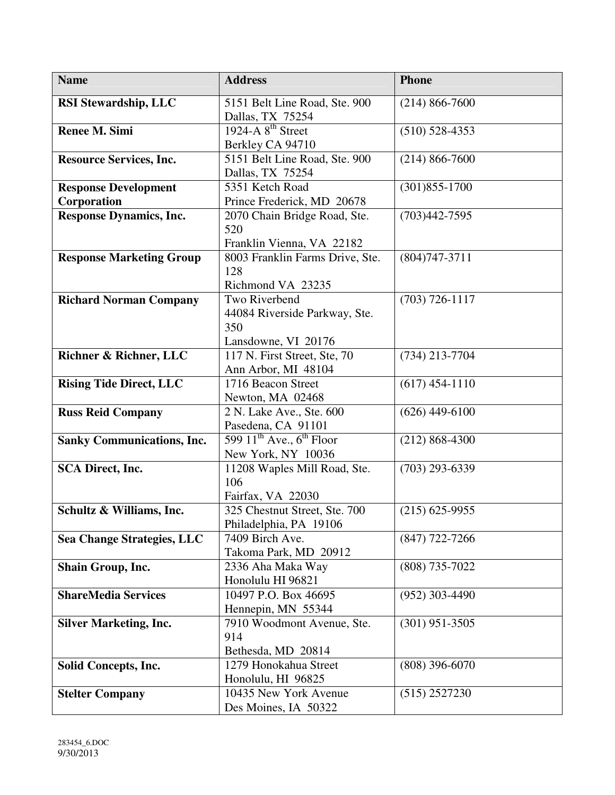| <b>Name</b>                                | <b>Address</b>                                                               | <b>Phone</b>       |
|--------------------------------------------|------------------------------------------------------------------------------|--------------------|
| <b>RSI Stewardship, LLC</b>                | 5151 Belt Line Road, Ste. 900<br>Dallas, TX 75254                            | $(214) 866 - 7600$ |
| <b>Renee M. Simi</b>                       | 1924-A $8th$ Street<br>Berkley CA 94710                                      | $(510)$ 528-4353   |
| <b>Resource Services, Inc.</b>             | 5151 Belt Line Road, Ste. 900<br>Dallas, TX 75254                            | $(214) 866 - 7600$ |
| <b>Response Development</b><br>Corporation | 5351 Ketch Road<br>Prince Frederick, MD 20678                                | $(301)855 - 1700$  |
| <b>Response Dynamics, Inc.</b>             | 2070 Chain Bridge Road, Ste.<br>520<br>Franklin Vienna, VA 22182             | $(703)442 - 7595$  |
| <b>Response Marketing Group</b>            | 8003 Franklin Farms Drive, Ste.<br>128<br>Richmond VA 23235                  | $(804)747 - 3711$  |
| <b>Richard Norman Company</b>              | Two Riverbend<br>44084 Riverside Parkway, Ste.<br>350<br>Lansdowne, VI 20176 | $(703) 726 - 1117$ |
| <b>Richner &amp; Richner, LLC</b>          | 117 N. First Street, Ste, 70<br>Ann Arbor, MI 48104                          | $(734)$ 213-7704   |
| <b>Rising Tide Direct, LLC</b>             | 1716 Beacon Street<br>Newton, MA 02468                                       | $(617)$ 454-1110   |
| <b>Russ Reid Company</b>                   | 2 N. Lake Ave., Ste. 600<br>Pasedena, CA 91101                               | $(626)$ 449-6100   |
| <b>Sanky Communications, Inc.</b>          | 599 $11^{th}$ Ave., $6^{th}$ Floor<br>New York, NY 10036                     | $(212) 868 - 4300$ |
| <b>SCA Direct, Inc.</b>                    | 11208 Waples Mill Road, Ste.<br>106<br>Fairfax, VA 22030                     | $(703)$ 293-6339   |
| Schultz & Williams, Inc.                   | 325 Chestnut Street, Ste. 700<br>Philadelphia, PA 19106                      | $(215)$ 625-9955   |
| <b>Sea Change Strategies, LLC</b>          | 7409 Birch Ave.<br>Takoma Park, MD 20912                                     | $(847)$ 722-7266   |
| Shain Group, Inc.                          | 2336 Aha Maka Way<br>Honolulu HI 96821                                       | $(808)$ 735-7022   |
| <b>ShareMedia Services</b>                 | 10497 P.O. Box 46695<br>Hennepin, MN 55344                                   | $(952)$ 303-4490   |
| <b>Silver Marketing, Inc.</b>              | 7910 Woodmont Avenue, Ste.<br>914<br>Bethesda, MD 20814                      | $(301)$ 951-3505   |
| Solid Concepts, Inc.                       | 1279 Honokahua Street<br>Honolulu, HI 96825                                  | $(808)$ 396-6070   |
| <b>Stelter Company</b>                     | 10435 New York Avenue<br>Des Moines, IA 50322                                | (515) 2527230      |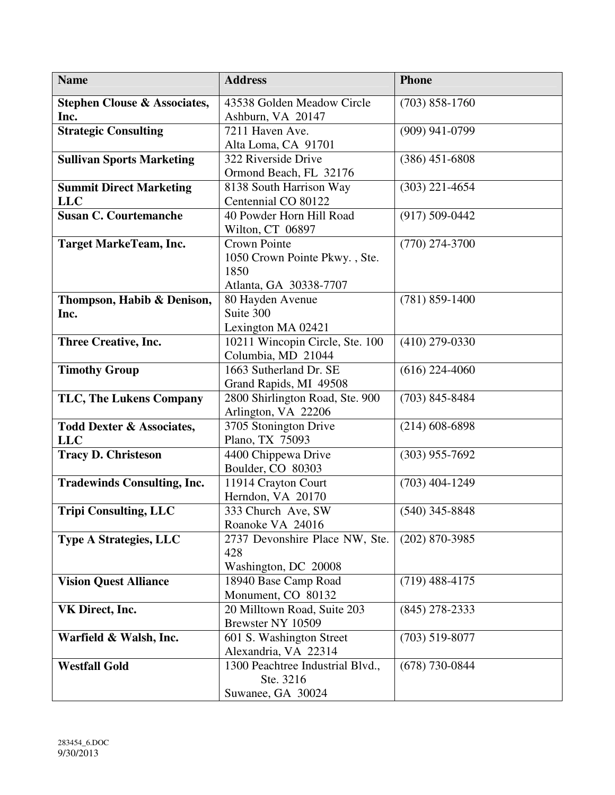| <b>Name</b>                                        | <b>Address</b>                                                                         | <b>Phone</b>       |
|----------------------------------------------------|----------------------------------------------------------------------------------------|--------------------|
| <b>Stephen Clouse &amp; Associates,</b><br>Inc.    | 43538 Golden Meadow Circle<br>Ashburn, VA 20147                                        | $(703) 858 - 1760$ |
| <b>Strategic Consulting</b>                        | 7211 Haven Ave.<br>Alta Loma, CA 91701                                                 | $(909)$ 941-0799   |
| <b>Sullivan Sports Marketing</b>                   | 322 Riverside Drive<br>Ormond Beach, FL 32176                                          | $(386)$ 451-6808   |
| <b>Summit Direct Marketing</b><br><b>LLC</b>       | 8138 South Harrison Way<br>Centennial CO 80122                                         | $(303)$ 221-4654   |
| <b>Susan C. Courtemanche</b>                       | 40 Powder Horn Hill Road<br>Wilton, CT 06897                                           | $(917) 509 - 0442$ |
| <b>Target MarkeTeam, Inc.</b>                      | <b>Crown Pointe</b><br>1050 Crown Pointe Pkwy., Ste.<br>1850<br>Atlanta, GA 30338-7707 | $(770)$ 274-3700   |
| Thompson, Habib & Denison,<br>Inc.                 | 80 Hayden Avenue<br>Suite 300<br>Lexington MA 02421                                    | $(781) 859 - 1400$ |
| Three Creative, Inc.                               | 10211 Wincopin Circle, Ste. 100<br>Columbia, MD 21044                                  | $(410)$ 279-0330   |
| <b>Timothy Group</b>                               | 1663 Sutherland Dr. SE<br>Grand Rapids, MI 49508                                       | $(616)$ 224-4060   |
| <b>TLC, The Lukens Company</b>                     | 2800 Shirlington Road, Ste. 900<br>Arlington, VA 22206                                 | $(703)$ 845-8484   |
| <b>Todd Dexter &amp; Associates,</b><br><b>LLC</b> | 3705 Stonington Drive<br>Plano, TX 75093                                               | $(214)$ 608-6898   |
| <b>Tracy D. Christeson</b>                         | 4400 Chippewa Drive<br>Boulder, CO 80303                                               | $(303)$ 955-7692   |
| <b>Tradewinds Consulting, Inc.</b>                 | 11914 Crayton Court<br>Herndon, VA 20170                                               | $(703)$ 404-1249   |
| <b>Tripi Consulting, LLC</b>                       | 333 Church Ave, SW<br>Roanoke VA 24016                                                 | $(540)$ 345-8848   |
| <b>Type A Strategies, LLC</b>                      | 2737 Devonshire Place NW, Ste.<br>428<br>Washington, DC 20008                          | $(202)$ 870-3985   |
| <b>Vision Quest Alliance</b>                       | 18940 Base Camp Road<br>Monument, CO 80132                                             | $(719)$ 488-4175   |
| VK Direct, Inc.                                    | 20 Milltown Road, Suite 203<br>Brewster NY 10509                                       | $(845)$ 278-2333   |
| Warfield & Walsh, Inc.                             | 601 S. Washington Street<br>Alexandria, VA 22314                                       | $(703)$ 519-8077   |
| <b>Westfall Gold</b>                               | 1300 Peachtree Industrial Blvd.,<br>Ste. 3216<br>Suwanee, GA 30024                     | $(678) 730 - 0844$ |